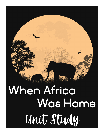# When Africa Was Home Unit Study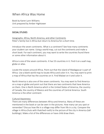# When Africa Was Home

Book by Karen Lynn Williams Unit prepared by Amber Hightower

#### SOCIAL STUDIES

Geography: Africa, North America, and other Continents Peter's family live in Africa but return to America for a short time.

Introduce the seven continents. What is a continent? See how many continents your student can name. Using a world map, cut out the continents and make a short book. For each continent, you may want to write the countries found there or some other information about it.

Africa is one of the seven continents. It has 53 countries in it. Find it on a wall map, globe or atlas.

Locate the oceans around Africa. Point out that the island of Madagascar is part of Africa. Use a blank world map to locate Africa and color it in. You may want to print a map of Africa that has the countries on it. Find Malawi on it and color it.

North America is also one of the seven continents. You may want to find America on a map or globe and point out that there are two continents that have America on them. One is North America which is the United States of America, the country of Canada, the country of Mexico and the countries of Central America. South America is the other continent.

#### Cultural Awareness

There are many differences between Africa and America. Many of these are mentioned in the book or can be seen in the pictures. How many can you spot or remember? Discuss how life in a village may differ from life in a city. Compare the village in Africa (huts with thatched roofs) to the picture of the city in America (tall buildings). Make a list of the differences or have child draw them.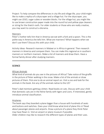Project: To help compare the differences in city life and village life, your child might like to make a replica of a skyscraper and a village hut. For the skyscraper, you might use LEGO, sugar cubes or wooden blocks. For the village hut, you might like to use brown construction paper made into the round hut and yellow pipe cleaners or string for the thatch roofs. For older students or those who are really creative, you may want to construct a diorama.

#### Manners

Peter's mother tells him that in America we eat with a fork and a spoon. This is the polite way in America she tells him. What are manners? What happens when we don't use them? Discuss this with your child.

Activity Ideas- Research manners in Malawi or in Africa in general. Then research manners in America and compare them. You can make this regional as in southern manners or northern manners. Make a list of manners and draw them. Have a formal family dinner after studying manners.

# SCIENCE

# African Animals

What kind of animals do you see in the pictures of Africa? Take notice of the giraffe in the picture of Peter walking in the snow. Make a list of the animals or draw pictures of them. Pick one to do an animal report on. Visit a zoo and look for the animals in the book. Are any of the animals native to the US?

Peter's dad mentions getting a kitten. Read books on cats. Discuss with your child that domestic cats are in the feline family with tigers and Lions. If interested, gently introduce animal classification.

#### Airplanes

The book says they boarded a plane bigger than a house with hundreds of seats and buttons and switches. Does your child know what kind of plane this is? Read about passenger planes and airports. Draw a picture of a plane they think Peter may have flown in. Visit an airport or plane museum if possible.

Older children may like to research the different types of planes and their uses.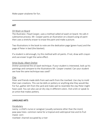Make paper airplanes for fun.

# ART

#### Oil Wash on Board

The illustrator, Floyd Cooper, uses a method called oil wash on board. He calls it subtractive process. Mr. Cooper paints an illustration on a board using oil paint then uses a stretchy eraser to erase the paint and make a picture.

Two illustrations in the book to note are the dedication page (green hues) and the page of Peter in bed (the blanket).

If a student is old enough, try this method with oil paints. If not, draw with crayon and use eraser to get the same effect.

#### Artist Study: Albert Dreher

Dreher pioneered the oil wash technique. If your student is interested, look up his paintings and compare to the illustrations Mr. Cooper created. Can your student see how the same technique was used?

#### Clay

Peter and friends made dolls from wet earth from the riverbed. Use clay to mold their own creations. This can be dolls or pottery or anything else they would like. For fun, gather dirt from the yard and make wet to resemble the clay Peter might have used. You can also use air dry clay in different colors. Visit a kiln or speak to an artist that makes pottery.

# LANGUAGE ARTS

Vocabulary

nanny- a child's nurse or caregiver (usually someone other than the mom) paw-paw trees- common name for a tropical and subtropical tree and its fruit maize- corn

riverbed- channel occupied by a river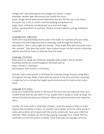mango tree- tree which grows the mango fruit which is sweet antelope- slender deer like animal that usually has horns paste- dough (there were several definitions but this fits the use in the story) mosquito net- a net or screen used for keeping mosquitoes out sugar cane- a tall grass usually grown as a source of sugar statue- representation of a person, thing or animal made by casting, molding or sculpture

#### Language Arts- Adjectives

There are many describing words used in the book. For students who are ready, introduce the word adjective and its meaning. Look through the book for descriptions. Here is one to get you started: "They made dolls with wet earth from the riverbed." Wet describes earth. Have student create his own words to describe objects around the house or pictures from the book.

#### Language: Chichewa

Peter learns to speak the Chichewa language while living in Africa. Several Chichewa words are used throughout the book such as Mayi- mother in Chichewa Achimwene- little brother in Chichewa

Activity: Learn some words in Chichewa for everyday things. Practice using them throughout the day. Make a book with the words in the story and their meanings. It might be fun to include the English words and pictures for each entry in your book.

#### Language Arts: Italics

Show your student the words in the text of the story that are italicized. Does your student know why we use italics? If not, explain that in books or other writings, the names of books and ships are italicized. When we hand write these, we underline them.

Activity: On note cards or small slips of paper, write the names of ships or other objects that should be in italics. On another set of paper, write the same words in italics and another set of paper with the words underlined. Have your child find matches. Older students can do this by copying a passage from a book that has used italics or that the parent provides. Have child copy the passage correctly.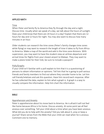### APPLIED MATH

#### Time

When Peter and family fly to America they fly through the day and a night. Discuss time. Usually when we speak of a day, we talk about the hours of sunlight. Does your child know that there are 24 hours in a day? Explain that there are 12 hours for day and 12 hours for night. You may also want to discuss how many minutes in an hour.

Older students can research the time zones (Peter's family changes time zones while flying) or may want to research the length of time it takes to fly from Africa to America. Make a map of the world and add in the time zone divisions. With supervision, you may want to have the student view an airlines departure and arrival times for flights from your closest airport to Malawi. They may want to make a plane ticket for their trek; be sure to include a passport!

#### Polls/Graphs

If your child isn't familiar with a poll explain to him that it is a questioning of persons to obtain information or opinions. Tell him that he is going to poll various friends and family members to find out where they consider home to be. Let him call friends/relatives and ask this question. Have him record each response. After he has collected the data, explain to him what a graph is. A graph is a way to visually compare the information. Help him chart the information.

#### BIBLE

#### Apprehension and Anxiety

Peter is apprehensive about his move back to America. He is afraid it will not feel like home because Africa is his home. Discuss anxiety. At some point we all feel anxious over something. Tell your child about a time when you have been anxious. What did you do to help with the anxiety? Did you talk about it, pray or keep a journal? Share verses from the Bible that your child can read when he is anxious. Comment one to memory.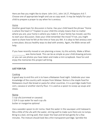Here are few you might like to share: John 14:1, John 14:27, Philippians 4:6-7. Choose one of appropriate length and use as copy work. It may be helpful for your child to prepare a prayer to say when he is anxious.

# Home

Another good topic for discussion is home. Has your child heard the phrase "Home is where the heart is"? Explain to your child this simply means that no matter where you are, your home is where you make it. If your family has moved, use this to start your discussion. Does your child remember the move? If not, you might want to share how he felt at the time or how you felt. It is okay to feel anxious over a new place; discuss healthy ways to deal with anxiety. Again, the Bible verses will help.

If you have recently moved or are planning a move, try this activity. Make a When was Home book. This can be as simple as your child drawing pictures or you can use photos you have taken and make a mini scrapbook. Have fun and enjoy the memories this project will bring.

# JUST FOR FUN

#### Cooking

A good way to end this unit is to have a Malawian food night. Celebrate your new knowledge of the country with recipes from Malawi. Nsima is the staple food for Malawians much like bread or pasta for other countries. It is a porridge made from corn, cassava or another starchy flour. It is used as a spoon to scoop up soups and stews.

#### Nsima

1 cup ufa (cornmeal or cassava) 2 3/4-3 cups water for each cup ufa butter or margarine *optional*

Use a wooden spoon to stir nsima. Heat the water in the saucepan until lukewarm. Mix a little of the ufa with the water, stirring well to make sure there are no lumps. Bring to a boil, stirring well, then lower the heat and let boil gently for a few minutes. The mixture should look like a thin transparent porridge. Sprinkle the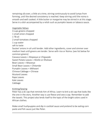remaining ufa over, a little at a time, stirring continuously to avoid lumps from forming, until the desired consistency is reached. Keep stirring until the nsima is smooth and well cooked. A little butter or margarine may be stirred in at this stage. Serve in a dish accompanied by a relish such as pumpkin leaves or tabasco sauce.

Vegetable Ndiwo 3 cups greens chopped 1 small onion chopped 1 TB oil 2 small tomatoes chopped 1 cup water salt to taste Sautee' onions in oil until tender. Add other ingredients, cover and simmer over medium heat until greens are tender. Serve with rice or Nsima. (see list below for common greens) Cassava Leaves = *Ntapasya* or *Chigwada* Sweet Potato Leaves = *Ntolilo* or *Kholowa* Bean Leaves = *Nkwanya* Small Bean Leaves = *Chitambe* Pumpkin Leaves = *Mkhwani* Chinese Cabbage = Chinese Mustard Leaves Rape Leaves Kale Leaves Cabbage

#### Knitting/Sewing

Peter has a ski cap that reminds him of Africa. Learn to knit a ski cap that looks like the one in the story. Another way is use fleece and sew a cap. Remember to add the tassels. This project also lends itself to the topic of the bright colors used in African clothes.

Make small hushpuppies and dip in cocktail sauce and pretend to be eating corn paste and fish sauce just like Peter.